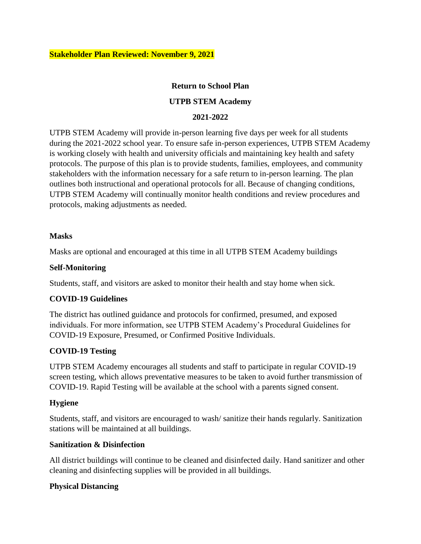### **Return to School Plan**

## **UTPB STEM Academy**

### **2021-2022**

UTPB STEM Academy will provide in-person learning five days per week for all students during the 2021-2022 school year. To ensure safe in-person experiences, UTPB STEM Academy is working closely with health and university officials and maintaining key health and safety protocols. The purpose of this plan is to provide students, families, employees, and community stakeholders with the information necessary for a safe return to in-person learning. The plan outlines both instructional and operational protocols for all. Because of changing conditions, UTPB STEM Academy will continually monitor health conditions and review procedures and protocols, making adjustments as needed.

#### **Masks**

Masks are optional and encouraged at this time in all UTPB STEM Academy buildings

#### **Self-Monitoring**

Students, staff, and visitors are asked to monitor their health and stay home when sick.

## **COVID-19 Guidelines**

The district has outlined guidance and protocols for confirmed, presumed, and exposed individuals. For more information, see UTPB STEM Academy's Procedural Guidelines for COVID-19 Exposure, Presumed, or Confirmed Positive Individuals.

## **COVID-19 Testing**

UTPB STEM Academy encourages all students and staff to participate in regular COVID-19 screen testing, which allows preventative measures to be taken to avoid further transmission of COVID-19. Rapid Testing will be available at the school with a parents signed consent.

## **Hygiene**

Students, staff, and visitors are encouraged to wash/ sanitize their hands regularly. Sanitization stations will be maintained at all buildings.

#### **Sanitization & Disinfection**

All district buildings will continue to be cleaned and disinfected daily. Hand sanitizer and other cleaning and disinfecting supplies will be provided in all buildings.

## **Physical Distancing**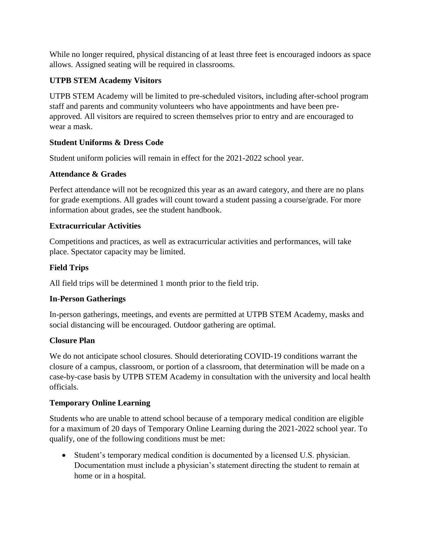While no longer required, physical distancing of at least three feet is encouraged indoors as space allows. Assigned seating will be required in classrooms.

# **UTPB STEM Academy Visitors**

UTPB STEM Academy will be limited to pre-scheduled visitors, including after-school program staff and parents and community volunteers who have appointments and have been preapproved. All visitors are required to screen themselves prior to entry and are encouraged to wear a mask.

# **Student Uniforms & Dress Code**

Student uniform policies will remain in effect for the 2021-2022 school year.

# **Attendance & Grades**

Perfect attendance will not be recognized this year as an award category, and there are no plans for grade exemptions. All grades will count toward a student passing a course/grade. For more information about grades, see the student handbook.

# **Extracurricular Activities**

Competitions and practices, as well as extracurricular activities and performances, will take place. Spectator capacity may be limited.

# **Field Trips**

All field trips will be determined 1 month prior to the field trip.

## **In-Person Gatherings**

In-person gatherings, meetings, and events are permitted at UTPB STEM Academy, masks and social distancing will be encouraged. Outdoor gathering are optimal.

## **Closure Plan**

We do not anticipate school closures. Should deteriorating COVID-19 conditions warrant the closure of a campus, classroom, or portion of a classroom, that determination will be made on a case-by-case basis by UTPB STEM Academy in consultation with the university and local health officials.

# **Temporary Online Learning**

Students who are unable to attend school because of a temporary medical condition are eligible for a maximum of 20 days of Temporary Online Learning during the 2021-2022 school year. To qualify, one of the following conditions must be met:

 Student's temporary medical condition is documented by a licensed U.S. physician. Documentation must include a physician's statement directing the student to remain at home or in a hospital.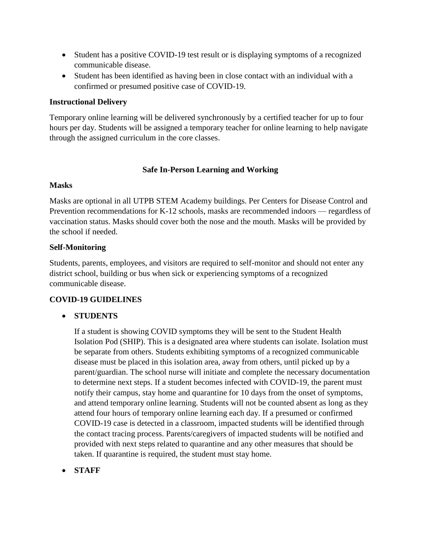- Student has a positive COVID-19 test result or is displaying symptoms of a recognized communicable disease.
- Student has been identified as having been in close contact with an individual with a confirmed or presumed positive case of COVID-19.

## **Instructional Delivery**

Temporary online learning will be delivered synchronously by a certified teacher for up to four hours per day. Students will be assigned a temporary teacher for online learning to help navigate through the assigned curriculum in the core classes.

## **Safe In-Person Learning and Working**

## **Masks**

Masks are optional in all UTPB STEM Academy buildings. Per Centers for Disease Control and Prevention recommendations for K-12 schools, masks are recommended indoors — regardless of vaccination status. Masks should cover both the nose and the mouth. Masks will be provided by the school if needed.

## **Self-Monitoring**

Students, parents, employees, and visitors are required to self-monitor and should not enter any district school, building or bus when sick or experiencing symptoms of a recognized communicable disease.

## **COVID-19 GUIDELINES**

## **STUDENTS**

If a student is showing COVID symptoms they will be sent to the Student Health Isolation Pod (SHIP). This is a designated area where students can isolate. Isolation must be separate from others. Students exhibiting symptoms of a recognized communicable disease must be placed in this isolation area, away from others, until picked up by a parent/guardian. The school nurse will initiate and complete the necessary documentation to determine next steps. If a student becomes infected with COVID-19, the parent must notify their campus, stay home and quarantine for 10 days from the onset of symptoms, and attend temporary online learning. Students will not be counted absent as long as they attend four hours of temporary online learning each day. If a presumed or confirmed COVID-19 case is detected in a classroom, impacted students will be identified through the contact tracing process. Parents/caregivers of impacted students will be notified and provided with next steps related to quarantine and any other measures that should be taken. If quarantine is required, the student must stay home.

**STAFF**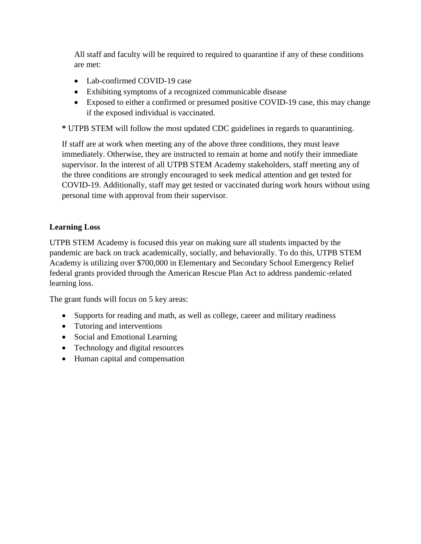All staff and faculty will be required to required to quarantine if any of these conditions are met:

- Lab-confirmed COVID-19 case
- Exhibiting symptoms of a recognized communicable disease
- Exposed to either a confirmed or presumed positive COVID-19 case, this may change if the exposed individual is vaccinated.

**\*** UTPB STEM will follow the most updated CDC guidelines in regards to quarantining.

If staff are at work when meeting any of the above three conditions, they must leave immediately. Otherwise, they are instructed to remain at home and notify their immediate supervisor. In the interest of all UTPB STEM Academy stakeholders, staff meeting any of the three conditions are strongly encouraged to seek medical attention and get tested for COVID-19. Additionally, staff may get tested or vaccinated during work hours without using personal time with approval from their supervisor.

## **Learning Loss**

UTPB STEM Academy is focused this year on making sure all students impacted by the pandemic are back on track academically, socially, and behaviorally. To do this, UTPB STEM Academy is utilizing over \$700,000 in Elementary and Secondary School Emergency Relief federal grants provided through the American Rescue Plan Act to address pandemic-related learning loss.

The grant funds will focus on 5 key areas:

- Supports for reading and math, as well as college, career and military readiness
- Tutoring and interventions
- Social and Emotional Learning
- Technology and digital resources
- Human capital and compensation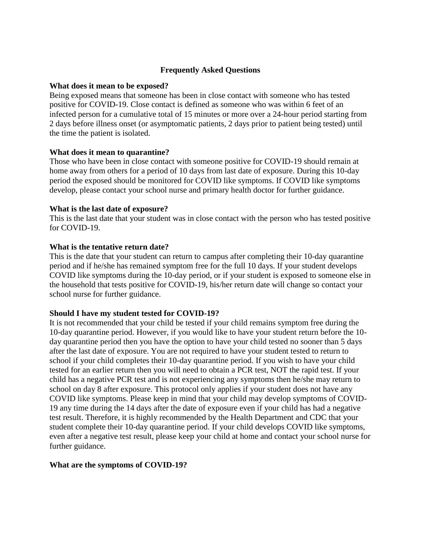### **Frequently Asked Questions**

#### **What does it mean to be exposed?**

Being exposed means that someone has been in close contact with someone who has tested positive for COVID-19. Close contact is defined as someone who was within 6 feet of an infected person for a cumulative total of 15 minutes or more over a 24-hour period starting from 2 days before illness onset (or asymptomatic patients, 2 days prior to patient being tested) until the time the patient is isolated.

#### **What does it mean to quarantine?**

Those who have been in close contact with someone positive for COVID-19 should remain at home away from others for a period of 10 days from last date of exposure. During this 10-day period the exposed should be monitored for COVID like symptoms. If COVID like symptoms develop, please contact your school nurse and primary health doctor for further guidance.

#### **What is the last date of exposure?**

This is the last date that your student was in close contact with the person who has tested positive for COVID-19.

#### **What is the tentative return date?**

This is the date that your student can return to campus after completing their 10-day quarantine period and if he/she has remained symptom free for the full 10 days. If your student develops COVID like symptoms during the 10-day period, or if your student is exposed to someone else in the household that tests positive for COVID-19, his/her return date will change so contact your school nurse for further guidance.

#### **Should I have my student tested for COVID-19?**

It is not recommended that your child be tested if your child remains symptom free during the 10-day quarantine period. However, if you would like to have your student return before the 10 day quarantine period then you have the option to have your child tested no sooner than 5 days after the last date of exposure. You are not required to have your student tested to return to school if your child completes their 10-day quarantine period. If you wish to have your child tested for an earlier return then you will need to obtain a PCR test, NOT the rapid test. If your child has a negative PCR test and is not experiencing any symptoms then he/she may return to school on day 8 after exposure. This protocol only applies if your student does not have any COVID like symptoms. Please keep in mind that your child may develop symptoms of COVID-19 any time during the 14 days after the date of exposure even if your child has had a negative test result. Therefore, it is highly recommended by the Health Department and CDC that your student complete their 10-day quarantine period. If your child develops COVID like symptoms, even after a negative test result, please keep your child at home and contact your school nurse for further guidance.

#### **What are the symptoms of COVID-19?**